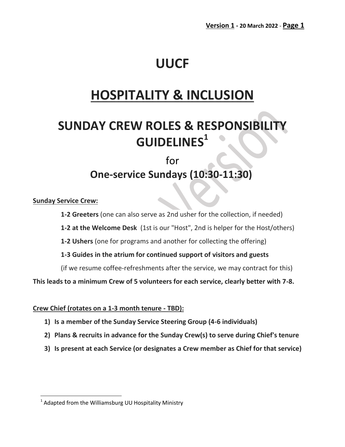# **UUCF**

# **HOSPITALITY & INCLUSION**

# **SUNDAY CREW ROLES & RESPONSIBILITY GUIDELINES<sup>1</sup>**

# for **One-service Sundays (10:30-11:30)**

#### **Sunday Service Crew:**

l

**1-2 Greeters** (one can also serve as 2nd usher for the collection, if needed)

**1-2 at the Welcome Desk** (1st is our "Host", 2nd is helper for the Host/others)

**1-2 Ushers** (one for programs and another for collecting the offering)

**1-3 Guides in the atrium for continued support of visitors and guests**

(if we resume coffee-refreshments after the service, we may contract for this)

**This leads to a minimum Crew of 5 volunteers for each service, clearly better with 7-8.**

#### **Crew Chief (rotates on a 1-3 month tenure - TBD):**

- **1) Is a member of the Sunday Service Steering Group (4-6 individuals)**
- **2) Plans & recruits in advance for the Sunday Crew(s) to serve during Chief's tenure**
- **3) Is present at each Service (or designates a Crew member as Chief for that service)**

<sup>&</sup>lt;sup>1</sup> Adapted from the Williamsburg UU Hospitality Ministry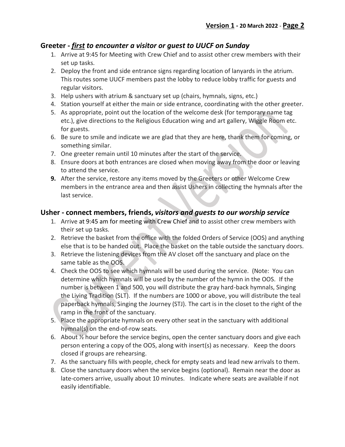#### **Greeter -** *first to encounter a visitor or guest to UUCF on Sunday*

- 1. Arrive at 9:45 for Meeting with Crew Chief and to assist other crew members with their set up tasks.
- 2. Deploy the front and side entrance signs regarding location of lanyards in the atrium. This routes some UUCF members past the lobby to reduce lobby traffic for guests and regular visitors.
- 3. Help ushers with atrium & sanctuary set up (chairs, hymnals, signs, etc.)
- 4. Station yourself at either the main or side entrance, coordinating with the other greeter.
- 5. As appropriate, point out the location of the welcome desk (for temporary name tag etc.), give directions to the Religious Education wing and art gallery, Wiggle Room etc. for guests.
- 6. Be sure to smile and indicate we are glad that they are here, thank them for coming, or something similar.
- 7. One greeter remain until 10 minutes after the start of the service.
- 8. Ensure doors at both entrances are closed when moving away from the door or leaving to attend the service.
- **9.** After the service, restore any items moved by the Greeters or other Welcome Crew members in the entrance area and then assist Ushers in collecting the hymnals after the last service.

## **Usher - connect members, friends,** *visitors and guests to our worship service*

- 1. Arrive at 9:45 am for meeting with Crew Chief and to assist other crew members with their set up tasks.
- 2. Retrieve the basket from the office with the folded Orders of Service (OOS) and anything else that is to be handed out. Place the basket on the table outside the sanctuary doors.
- 3. Retrieve the listening devices from the AV closet off the sanctuary and place on the same table as the OOS.
- 4. Check the OOS to see which hymnals will be used during the service. (Note: You can determine which hymnals will be used by the number of the hymn in the OOS. If the number is between 1 and 500, you will distribute the gray hard-back hymnals, Singing the Living Tradition (SLT). If the numbers are 1000 or above, you will distribute the teal paperback hymnals, Singing the Journey (STJ). The cart is in the closet to the right of the ramp in the front of the sanctuary.
- 5. Place the appropriate hymnals on every other seat in the sanctuary with additional hymnal(s) on the end-of-row seats.
- 6. About  $\frac{1}{2}$  hour before the service begins, open the center sanctuary doors and give each person entering a copy of the OOS, along with insert(s) as necessary. Keep the doors closed if groups are rehearsing.
- 7. As the sanctuary fills with people, check for empty seats and lead new arrivals to them.
- 8. Close the sanctuary doors when the service begins (optional). Remain near the door as late-comers arrive, usually about 10 minutes. Indicate where seats are available if not easily identifiable.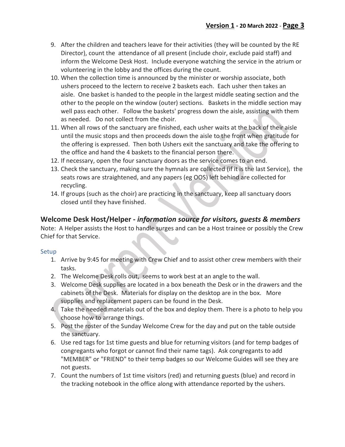- 9. After the children and teachers leave for their activities (they will be counted by the RE Director), count the attendance of all present (include choir, exclude paid staff) and inform the Welcome Desk Host. Include everyone watching the service in the atrium or volunteering in the lobby and the offices during the count.
- 10. When the collection time is announced by the minister or worship associate, both ushers proceed to the lectern to receive 2 baskets each. Each usher then takes an aisle. One basket is handed to the people in the largest middle seating section and the other to the people on the window (outer) sections. Baskets in the middle section may well pass each other. Follow the baskets' progress down the aisle, assisting with them as needed. Do not collect from the choir.
- 11. When all rows of the sanctuary are finished, each usher waits at the back of their aisle until the music stops and then proceeds down the aisle to the front when gratitude for the offering is expressed. Then both Ushers exit the sanctuary and take the offering to the office and hand the 4 baskets to the financial person there.
- 12. If necessary, open the four sanctuary doors as the service comes to an end.
- 13. Check the sanctuary, making sure the hymnals are collected (if it is the last Service), the seats rows are straightened, and any papers (eg OOS) left behind are collected for recycling.
- 14. If groups (such as the choir) are practicing in the sanctuary, keep all sanctuary doors closed until they have finished.

## **Welcome Desk Host/Helper -** *information source for visitors, guests & members*

Note: A Helper assists the Host to handle surges and can be a Host trainee or possibly the Crew Chief for that Service.

#### Setup

- 1. Arrive by 9:45 for meeting with Crew Chief and to assist other crew members with their tasks.
- 2. The Welcome Desk rolls out, seems to work best at an angle to the wall.
- 3. Welcome Desk supplies are located in a box beneath the Desk or in the drawers and the cabinets of the Desk. Materials for display on the desktop are in the box. More supplies and replacement papers can be found in the Desk.
- 4. Take the needed materials out of the box and deploy them. There is a photo to help you choose how to arrange things.
- 5. Post the roster of the Sunday Welcome Crew for the day and put on the table outside the sanctuary.
- 6. Use red tags for 1st time guests and blue for returning visitors (and for temp badges of congregants who forgot or cannot find their name tags). Ask congregants to add "MEMBER" or "FRIEND" to their temp badges so our Welcome Guides will see they are not guests.
- 7. Count the numbers of 1st time visitors (red) and returning guests (blue) and record in the tracking notebook in the office along with attendance reported by the ushers.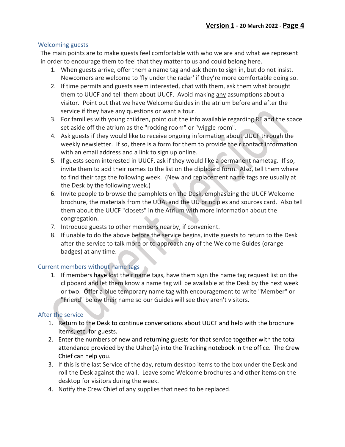#### Welcoming guests

The main points are to make guests feel comfortable with who we are and what we represent in order to encourage them to feel that they matter to us and could belong here.

- 1. When guests arrive, offer them a name tag and ask them to sign in, but do not insist. Newcomers are welcome to 'fly under the radar' if they're more comfortable doing so.
- 2. If time permits and guests seem interested, chat with them, ask them what brought them to UUCF and tell them about UUCF. Avoid making any assumptions about a visitor. Point out that we have Welcome Guides in the atrium before and after the service if they have any questions or want a tour.
- 3. For families with young children, point out the info available regarding RE and the space set aside off the atrium as the "rocking room" or "wiggle room".
- 4. Ask guests if they would like to receive ongoing information about UUCF through the weekly newsletter. If so, there is a form for them to provide their contact information with an email address and a link to sign up online.
- 5. If guests seem interested in UUCF, ask if they would like a permanent nametag. If so, invite them to add their names to the list on the clipboard form. Also, tell them where to find their tags the following week. (New and replacement name tags are usually at the Desk by the following week.)
- 6. Invite people to browse the pamphlets on the Desk, emphasizing the UUCF Welcome brochure, the materials from the UUA, and the UU principles and sources card. Also tell them about the UUCF "closets" in the Atrium with more information about the congregation.
- 7. Introduce guests to other members nearby, if convenient.
- 8. If unable to do the above before the service begins, invite guests to return to the Desk after the service to talk more or to approach any of the Welcome Guides (orange badges) at any time.

#### Current members without name tags

1. If members have lost their name tags, have them sign the name tag request list on the clipboard and let them know a name tag will be available at the Desk by the next week or two. Offer a blue temporary name tag with encouragement to write "Member" or "Friend" below their name so our Guides will see they aren't visitors.

#### After the service

- 1. Return to the Desk to continue conversations about UUCF and help with the brochure items, etc. for guests.
- 2. Enter the numbers of new and returning guests for that service together with the total attendance provided by the Usher(s) into the Tracking notebook in the office. The Crew Chief can help you.
- 3. If this is the last Service of the day, return desktop items to the box under the Desk and roll the Desk against the wall. Leave some Welcome brochures and other items on the desktop for visitors during the week.
- 4. Notify the Crew Chief of any supplies that need to be replaced.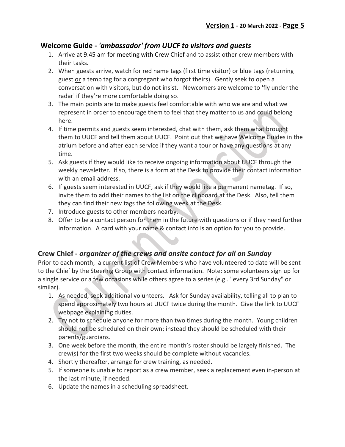## **Welcome Guide -** *'ambassador' from UUCF to visitors and guests*

- 1. Arrive at 9:45 am for meeting with Crew Chief and to assist other crew members with their tasks.
- 2. When guests arrive, watch for red name tags (first time visitor) or blue tags (returning guest or a temp tag for a congregant who forgot theirs). Gently seek to open a conversation with visitors, but do not insist. Newcomers are welcome to 'fly under the radar' if they're more comfortable doing so.
- 3. The main points are to make guests feel comfortable with who we are and what we represent in order to encourage them to feel that they matter to us and could belong here.
- 4. If time permits and guests seem interested, chat with them, ask them what brought them to UUCF and tell them about UUCF. Point out that we have Welcome Guides in the atrium before and after each service if they want a tour or have any questions at any time.
- 5. Ask guests if they would like to receive ongoing information about UUCF through the weekly newsletter. If so, there is a form at the Desk to provide their contact information with an email address.
- 6. If guests seem interested in UUCF, ask if they would like a permanent nametag. If so, invite them to add their names to the list on the clipboard at the Desk. Also, tell them they can find their new tags the following week at the Desk.
- 7. Introduce guests to other members nearby.
- 8. Offer to be a contact person for them in the future with questions or if they need further information. A card with your name & contact info is an option for you to provide.

## **Crew Chief -** *organizer of the crews and onsite contact for all on Sunday*

Prior to each month, a current list of Crew Members who have volunteered to date will be sent to the Chief by the Steering Group with contact information. Note: some volunteers sign up for a single service or a few occasions while others agree to a series (e.g.. "every 3rd Sunday" or similar).

- 1. As needed, seek additional volunteers. Ask for Sunday availability, telling all to plan to spend approximately two hours at UUCF twice during the month. Give the link to UUCF webpage explaining duties.
- 2. Try not to schedule anyone for more than two times during the month. Young children should not be scheduled on their own; instead they should be scheduled with their parents/guardians.
- 3. One week before the month, the entire month's roster should be largely finished. The crew(s) for the first two weeks should be complete without vacancies.
- 4. Shortly thereafter, arrange for crew training, as needed.
- 5. If someone is unable to report as a crew member, seek a replacement even in-person at the last minute, if needed.
- 6. Update the names in a scheduling spreadsheet.